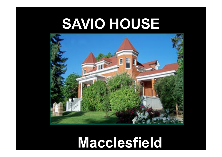### **SAVIO HOUSE**



### **Macclesfield**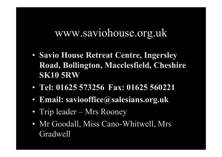#### www.saviohouse.org.uk

- **Savio House Retreat Centre, Ingersley Road, Bollington, Macclesfield, Cheshire SK10 5RW**
- **Tel: 01625 573256 Fax: 01625 560221**
- **Email: saviooffice@salesians.org.uk**
- Trip leader Mrs Rooney
- Mr Goodall, Miss Cano-Whitwell, Mrs Gradwell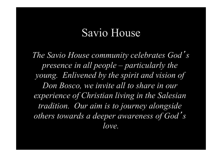#### Savio House

*The Savio House community celebrates God*' *s presence in all people – particularly the young. Enlivened by the spirit and vision of Don Bosco, we invite all to share in our experience of Christian living in the Salesian tradition. Our aim is to journey alongside others towards a deeper awareness of God*' *s love.*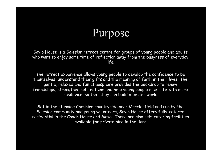### Purpose

Savio House is a Salesian retreat centre for groups of young people and adults who want to enjoy some time of reflection away from the busyness of everyday life.

The retreat experience allows young people to develop the confidence to be themselves, understand their gifts and the meaning of faith in their lives. The gentle, relaxed and fun atmosphere provides the backdrop to renew friendships, strengthen self-esteem and help young people meet life with more resilience, so that they can build a better world.

Set in the stunning Cheshire countryside near Macclesfield and run by the Salesian community and young volunteers, Savio House offers fully-catered residential in the Coach House and Mews. There are also self-catering facilities available for private hire in the Barn.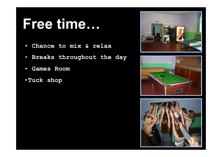### **Free time…**

- • **Chance to mix & relax**
- • **Breaks throughout the day**
- • **Games Room**
- •**Tuck shop**





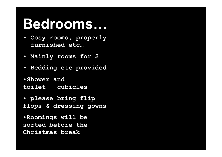### **Bedrooms…**

- • **Cosy rooms, properly ….furnished etc…**
- • **Mainly rooms for 2**
- • **Bedding etc provided**
- •**Shower and**  toilet cubicles
- • **please bring flip flops & dressing gowns**
- •**Roomings will be sorted before the Christmas break**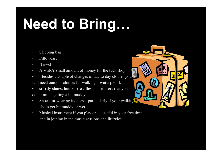## **Need to Bring…**

- Sleeping bag
- Pillowcase
- Towel
- A VERY small amount of money for the tuck shop.
- Besides a couple of changes of day to day clothes you will need outdoor clothes for walking – **waterproof**,
- **sturdy shoes, boots or wellies** and trousers that you don't mind getting a bit muddy
- Shoes for wearing indoors particularly if your walking shoes get bit muddy or wet
- Musical instrument if you play one useful in your free time and in joining in the music sessions and liturgies

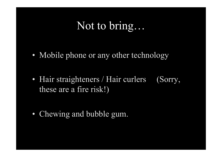#### Not to bring…

- Mobile phone or any other technology
- Hair straighteners / Hair curlers (Sorry, these are a fire risk!)
- Chewing and bubble gum.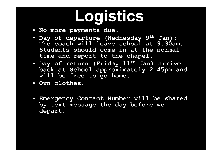# **Logistics**

- **No more payments due.**
- **Day of departure (Wednesday 9th Jan): The coach will leave school at 9.30am. Students should come in at the normal time and report to the chapel.**
- **Day of return (Friday 11th Jan) arrive back at School approximately 2.45pm and will be free to go home.**
- **Own clothes.**
- **Emergency Contact Number will be shared by text message the day before we depart.**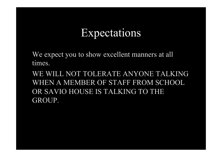#### Expectations

We expect you to show excellent manners at all times.

WE WILL NOT TOLERATE ANYONE TALKING WHEN A MEMBER OF STAFF FROM SCHOOL OR SAVIO HOUSE IS TALKING TO THE GROUP.